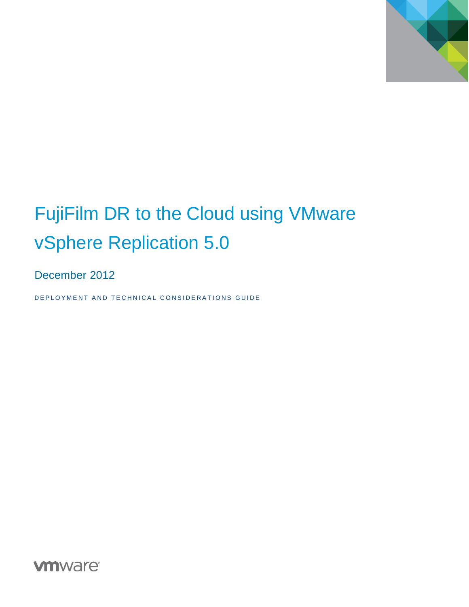

# FujiFilm DR to the Cloud using VMware vSphere Replication 5.0

December 2012

DEPLOYMENT AND TECHNICAL CONSIDERATIONS GUIDE

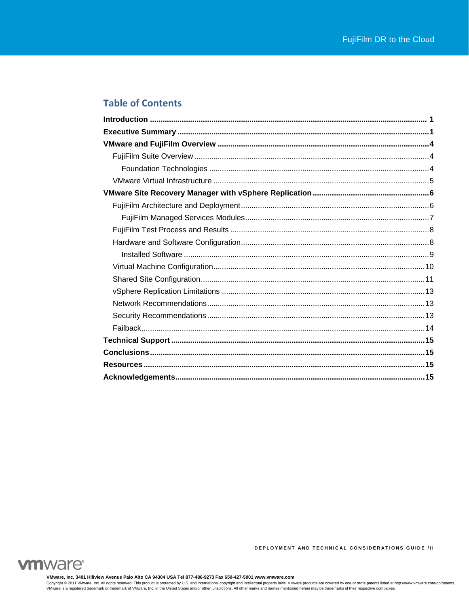# **Table of Contents**



**VMware, Inc. 3401 Hillview Avenue Palo Alto CA 94304 USA Tel 877-486-9273 Fax 650-427-5001 www.vmware.com** Copyright © 2011 VMware, Inc. All rights reserved. This product is protected by U.S. and international copyright and intellectual property laws. VMware products are covered by one or more patents listed at http://www.vmwar

**DEPLOYMENT AND TECHNICAL CONSIDERATIONS GUIDE ///**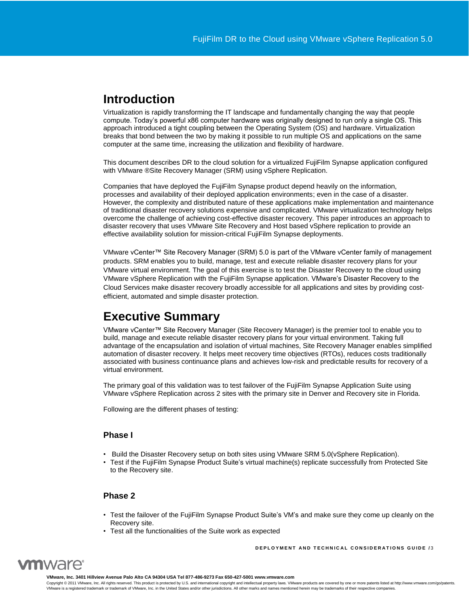# <span id="page-2-0"></span>**Introduction**

Virtualization is rapidly transforming the IT landscape and fundamentally changing the way that people compute. Today's powerful x86 computer hardware was originally designed to run only a single OS. This approach introduced a tight coupling between the Operating System (OS) and hardware. Virtualization breaks that bond between the two by making it possible to run multiple OS and applications on the same computer at the same time, increasing the utilization and flexibility of hardware.

This document describes DR to the cloud solution for a virtualized FujiFilm Synapse application configured with VMware ®Site Recovery Manager (SRM) using vSphere Replication.

Companies that have deployed the FujiFilm Synapse product depend heavily on the information, processes and availability of their deployed application environments; even in the case of a disaster. However, the complexity and distributed nature of these applications make implementation and maintenance of traditional disaster recovery solutions expensive and complicated. VMware virtualization technology helps overcome the challenge of achieving cost-effective disaster recovery. This paper introduces an approach to disaster recovery that uses VMware Site Recovery and Host based vSphere replication to provide an effective availability solution for mission-critical FujiFilm Synapse deployments.

VMware vCenter™ Site Recovery Manager (SRM) 5.0 is part of the VMware vCenter family of management products. SRM enables you to build, manage, test and execute reliable disaster recovery plans for your VMware virtual environment. The goal of this exercise is to test the Disaster Recovery to the cloud using VMware vSphere Replication with the FujiFilm Synapse application. VMware's Disaster Recovery to the Cloud Services make disaster recovery broadly accessible for all applications and sites by providing costefficient, automated and simple disaster protection.

# <span id="page-2-1"></span>**Executive Summary**

VMware vCenter™ Site Recovery Manager (Site Recovery Manager) is the premier tool to enable you to build, manage and execute reliable disaster recovery plans for your virtual environment. Taking full advantage of the encapsulation and isolation of virtual machines, Site Recovery Manager enables simplified automation of disaster recovery. It helps meet recovery time objectives (RTOs), reduces costs traditionally associated with business continuance plans and achieves low-risk and predictable results for recovery of a virtual environment.

The primary goal of this validation was to test failover of the FujiFilm Synapse Application Suite using VMware vSphere Replication across 2 sites with the primary site in Denver and Recovery site in Florida.

Following are the different phases of testing:

## **Phase I**

- Build the Disaster Recovery setup on both sites using VMware SRM 5.0(vSphere Replication).
- Test if the FujiFilm Synapse Product Suite's virtual machine(s) replicate successfully from Protected Site to the Recovery site.

## **Phase 2**

- Test the failover of the FujiFilm Synapse Product Suite's VM's and make sure they come up cleanly on the Recovery site.
- Test all the functionalities of the Suite work as expected

**DEPLOYMENT AND TECHNICAL CONSIDERATIONS GUIDE /3** 



**VMware, Inc. 3401 Hillview Avenue Palo Alto CA 94304 USA Tel 877-486-9273 Fax 650-427-5001 www.vmware.com**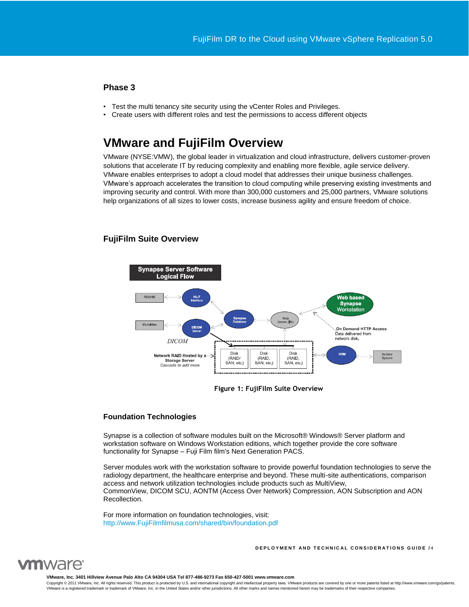# **Phase 3**

- Test the multi tenancy site security using the vCenter Roles and Privileges.
- Create users with different roles and test the permissions to access different objects

# <span id="page-3-0"></span>**VMware and FujiFilm Overview**

VMware (NYSE:VMW), the global leader in virtualization and cloud infrastructure, delivers customer-proven solutions that accelerate IT by reducing complexity and enabling more flexible, agile service delivery. VMware enables enterprises to adopt a cloud model that addresses their unique business challenges. VMware's approach accelerates the transition to cloud computing while preserving existing investments and improving security and control. With more than 300,000 customers and 25,000 partners, VMware solutions help organizations of all sizes to lower costs, increase business agility and ensure freedom of choice.

## <span id="page-3-1"></span>**FujiFilm Suite Overview**



#### **Figure 1: FujiFilm Suite Overview**

#### <span id="page-3-2"></span>**Foundation Technologies**

Synapse is a collection of software modules built on the Microsoft® Windows® Server platform and workstation software on Windows Workstation editions, which together provide the core software functionality for Synapse – Fuji Film film's Next Generation PACS.

Server modules work with the workstation software to provide powerful foundation technologies to serve the radiology department, the healthcare enterprise and beyond. These multi-site authentications, comparison access and network utilization technologies include products such as MultiView, CommonView, DICOM SCU, AONTM (Access Over Network) Compression, AON Subscription and AON Recollection.

For more information on foundation technologies, visit: [http://www.FujiFilmfilmusa.com/shared/bin/foundation.pdf](http://www.fujifilmusa.com/shared/bin/foundation.pdf)

**D E P L O Y M E N T A N D T E C H N I C A L C O N S I D E R A T I O N S G U I D E /** 4



**VMware, Inc. 3401 Hillview Avenue Palo Alto CA 94304 USA Tel 877-486-9273 Fax 650-427-5001 www.vmware.com**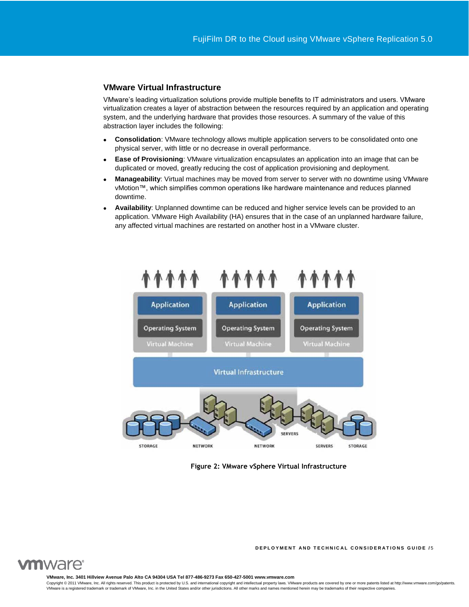#### <span id="page-4-0"></span>**VMware Virtual Infrastructure**

VMware's leading virtualization solutions provide multiple benefits to IT administrators and users. VMware virtualization creates a layer of abstraction between the resources required by an application and operating system, and the underlying hardware that provides those resources. A summary of the value of this abstraction layer includes the following:

- **Consolidation**: VMware technology allows multiple application servers to be consolidated onto one physical server, with little or no decrease in overall performance.
- **Ease of Provisioning**: VMware virtualization encapsulates an application into an image that can be duplicated or moved, greatly reducing the cost of application provisioning and deployment.
- **Manageability**: Virtual machines may be moved from server to server with no downtime using VMware vMotion™, which simplifies common operations like hardware maintenance and reduces planned downtime.
- **Availability**: Unplanned downtime can be reduced and higher service levels can be provided to an application. VMware High Availability (HA) ensures that in the case of an unplanned hardware failure, any affected virtual machines are restarted on another host in a VMware cluster.



**Figure 2: VMware vSphere Virtual Infrastructure**

**DEPLOYMENT AND TECHNICAL CONSIDERATIONS GUIDE /5** 



**VMware, Inc. 3401 Hillview Avenue Palo Alto CA 94304 USA Tel 877-486-9273 Fax 650-427-5001 www.vmware.com**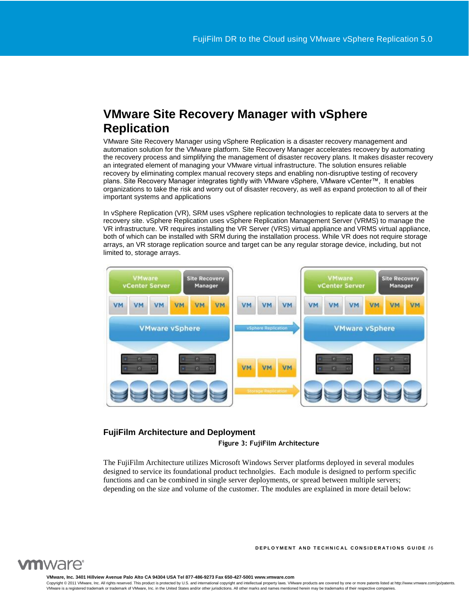# <span id="page-5-0"></span>**VMware Site Recovery Manager with vSphere Replication**

VMware Site Recovery Manager using vSphere Replication is a disaster recovery management and automation solution for the VMware platform. Site Recovery Manager accelerates recovery by automating the recovery process and simplifying the management of disaster recovery plans. It makes disaster recovery an integrated element of managing your VMware virtual infrastructure. The solution ensures reliable recovery by eliminating complex manual recovery steps and enabling non-disruptive testing of recovery plans. Site Recovery Manager integrates tightly with VMware vSphere, VMware vCenter™, It enables organizations to take the risk and worry out of disaster recovery, as well as expand protection to all of their important systems and applications

In vSphere Replication (VR), SRM uses vSphere replication technologies to replicate data to servers at the recovery site. vSphere Replication uses vSphere Replication Management Server (VRMS) to manage the VR infrastructure. VR requires installing the VR Server (VRS) virtual appliance and VRMS virtual appliance, both of which can be installed with SRM during the installation process. While VR does not require storage arrays, an VR storage replication source and target can be any regular storage device, including, but not limited to, storage arrays.



# <span id="page-5-1"></span>**FujiFilm Architecture and Deployment**

**Figure 3: FujiFilm Architecture**

The FujiFilm Architecture utilizes Microsoft Windows Server platforms deployed in several modules designed to service its foundational product technolgies. Each module is designed to perform specific functions and can be combined in single server deployments, or spread between multiple servers; depending on the size and volume of the customer. The modules are explained in more detail below:



**DEPLOYMENT AND TECHNICAL CONSIDERATIONS GUIDE /6** 

**VMware, Inc. 3401 Hillview Avenue Palo Alto CA 94304 USA Tel 877-486-9273 Fax 650-427-5001 www.vmware.com**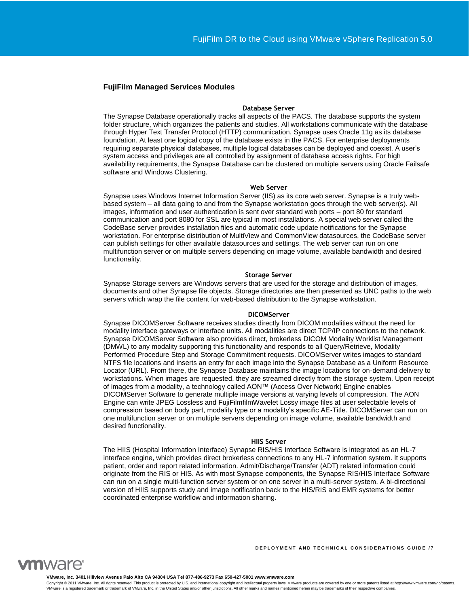#### <span id="page-6-0"></span>**FujiFilm Managed Services Modules**

#### **Database Server**

The Synapse Database operationally tracks all aspects of the PACS. The database supports the system folder structure, which organizes the patients and studies. All workstations communicate with the database through Hyper Text Transfer Protocol (HTTP) communication. Synapse uses Oracle 11g as its database foundation. At least one logical copy of the database exists in the PACS. For enterprise deployments requiring separate physical databases, multiple logical databases can be deployed and coexist. A user's system access and privileges are all controlled by assignment of database access rights. For high availability requirements, the Synapse Database can be clustered on multiple servers using Oracle Failsafe software and Windows Clustering.

#### **Web Server**

Synapse uses Windows Internet Information Server (IIS) as its core web server. Synapse is a truly webbased system – all data going to and from the Synapse workstation goes through the web server(s). All images, information and user authentication is sent over standard web ports – port 80 for standard communication and port 8080 for SSL are typical in most installations. A special web server called the CodeBase server provides installation files and automatic code update notifications for the Synapse workstation. For enterprise distribution of MultiView and CommonView datasources, the CodeBase server can publish settings for other available datasources and settings. The web server can run on one multifunction server or on multiple servers depending on image volume, available bandwidth and desired functionality.

#### **Storage Server**

Synapse Storage servers are Windows servers that are used for the storage and distribution of images, documents and other Synapse file objects. Storage directories are then presented as UNC paths to the web servers which wrap the file content for web-based distribution to the Synapse workstation.

#### **DICOMServer**

Synapse DICOMServer Software receives studies directly from DICOM modalities without the need for modality interface gateways or interface units. All modalities are direct TCP/IP connections to the network. Synapse DICOMServer Software also provides direct, brokerless DICOM Modality Worklist Management (DMWL) to any modality supporting this functionality and responds to all Query/Retrieve, Modality Performed Procedure Step and Storage Commitment requests. DICOMServer writes images to standard NTFS file locations and inserts an entry for each image into the Synapse Database as a Uniform Resource Locator (URL). From there, the Synapse Database maintains the image locations for on-demand delivery to workstations. When images are requested, they are streamed directly from the storage system. Upon receipt of images from a modality, a technology called AON™ (Access Over Network) Engine enables DICOMServer Software to generate multiple image versions at varying levels of compression. The AON Engine can write JPEG Lossless and FujiFilmfilmWavelet Lossy image files at user selectable levels of compression based on body part, modality type or a modality's specific AE-Title. DICOMServer can run on one multifunction server or on multiple servers depending on image volume, available bandwidth and desired functionality.

#### **HIIS Server**

The HIIS (Hospital Information Interface) Synapse RIS/HIS Interface Software is integrated as an HL-7 interface engine, which provides direct brokerless connections to any HL-7 information system. It supports patient, order and report related information. Admit/Discharge/Transfer (ADT) related information could originate from the RIS or HIS. As with most Synapse components, the Synapse RIS/HIS Interface Software can run on a single multi-function server system or on one server in a multi-server system. A bi-directional version of HIIS supports study and image notification back to the HIS/RIS and EMR systems for better coordinated enterprise workflow and information sharing.

**DEPLOYMENT AND TECHNICAL CONSIDERATIONS GUIDE /7** 



**VMware, Inc. 3401 Hillview Avenue Palo Alto CA 94304 USA Tel 877-486-9273 Fax 650-427-5001 www.vmware.com**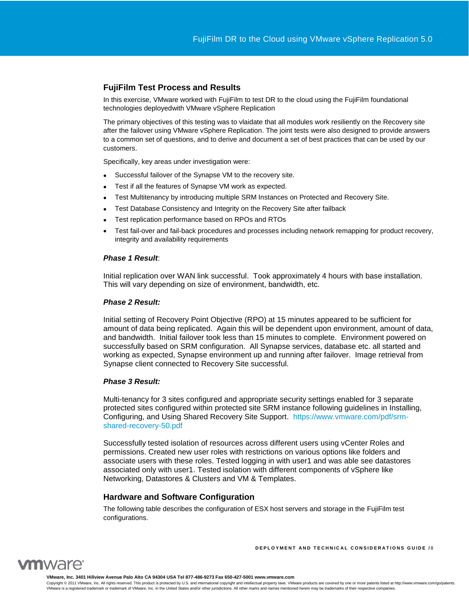# <span id="page-7-0"></span>**FujiFilm Test Process and Results**

In this exercise, VMware worked with FujiFilm to test DR to the cloud using the FujiFilm foundational technologies deployedwith VMware vSphere Replication

The primary objectives of this testing was to vlaidate that all modules work resiliently on the Recovery site after the failover using VMware vSphere Replication. The joint tests were also designed to provide answers to a common set of questions, and to derive and document a set of best practices that can be used by our customers.

Specifically, key areas under investigation were:

- Successful failover of the Synapse VM to the recovery site.
- Test if all the features of Synapse VM work as expected.
- Test Multitenancy by introducing multiple SRM Instances on Protected and Recovery Site.
- Test Database Consistency and Integrity on the Recovery Site after failback
- Test replication performance based on RPOs and RTOs
- Test fail-over and fail-back procedures and processes including network remapping for product recovery, integrity and availability requirements

#### *Phase 1 Result*:

Initial replication over WAN link successful. Took approximately 4 hours with base installation. This will vary depending on size of environment, bandwidth, etc.

#### *Phase 2 Result:*

Initial setting of Recovery Point Objective (RPO) at 15 minutes appeared to be sufficient for amount of data being replicated. Again this will be dependent upon environment, amount of data, and bandwidth. Initial failover took less than 15 minutes to complete. Environment powered on successfully based on SRM configuration. All Synapse services, database etc. all started and working as expected, Synapse environment up and running after failover. Image retrieval from Synapse client connected to Recovery Site successful.

#### *Phase 3 Result:*

Multi-tenancy for 3 sites configured and appropriate security settings enabled for 3 separate protected sites configured within protected site SRM instance following guidelines in Installing, Configuring, and Using Shared Recovery Site Support. [https://www.vmware.com/pdf/srm](https://www.vmware.com/pdf/srm-shared-recovery-50.pdf)[shared-recovery-50.pdf](https://www.vmware.com/pdf/srm-shared-recovery-50.pdf)

<span id="page-7-1"></span>Successfully tested isolation of resources across different users using vCenter Roles and permissions. Created new user roles with restrictions on various options like folders and associate users with these roles. Tested logging in with user1 and was able see datastores associated only with user1. Tested isolation with different components of vSphere like Networking, Datastores & Clusters and VM & Templates.

#### **Hardware and Software Configuration**

The following table describes the configuration of ESX host servers and storage in the FujiFilm test configurations.

**DEPLOYMENT AND TECHNICAL CONSIDERATIONS GUIDE /8** 



**VMware, Inc. 3401 Hillview Avenue Palo Alto CA 94304 USA Tel 877-486-9273 Fax 650-427-5001 www.vmware.com**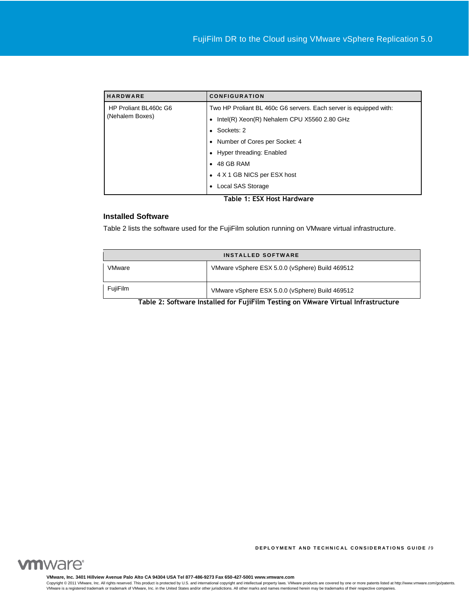| <b>HARDWARE</b>                          | <b>CONFIGURATION</b>                                              |
|------------------------------------------|-------------------------------------------------------------------|
| HP Proliant BL460c G6<br>(Nehalem Boxes) | Two HP Proliant BL 460c G6 servers. Each server is equipped with: |
|                                          | Intel(R) Xeon(R) Nehalem CPU X5560 2.80 GHz<br>٠                  |
|                                          | Sockets: 2<br>$\bullet$                                           |
|                                          | Number of Cores per Socket: 4                                     |
|                                          | Hyper threading: Enabled<br>٠                                     |
|                                          | $\bullet$ 48 GB RAM                                               |
|                                          | • 4 X 1 GB NICS per ESX host                                      |
|                                          | Local SAS Storage<br>$\bullet$                                    |
| Table 1: ESX Host Hardware               |                                                                   |

## <span id="page-8-0"></span>**Installed Software**

Table 2 lists the software used for the FujiFilm solution running on VMware virtual infrastructure.

| <b>INSTALLED SOFTWARE</b>                                                         |                                                 |  |
|-----------------------------------------------------------------------------------|-------------------------------------------------|--|
| VMware                                                                            | VMware vSphere ESX 5.0.0 (vSphere) Build 469512 |  |
| <b>FujiFilm</b>                                                                   | VMware vSphere ESX 5.0.0 (vSphere) Build 469512 |  |
| Table 2: Ceftware Installed for EujiEilm Testing on Whware Virtual Infrastructure |                                                 |  |

**Table 2: Software Installed for FujiFilm Testing on VMware Virtual Infrastructure**



**VMware, Inc. 3401 Hillview Avenue Palo Alto CA 94304 USA Tel 877-486-9273 Fax 650-427-5001 www.vmware.com**

Copyright @ 2011 VMware, Inc. All rights reserved. This product is protected by U.S. and international copyright and intellectual property laws. VMware products are covered by one or more patents listed at http://www.vmwar VMware is a registered trademark or trademark of VMware, Inc. in the United States and/or other jurisdictions. All other marks and names mentioned herein may be trademarks of their respective companies.

**DEPLOYMENT AND TECHNICAL CONSIDERATIONS GUIDE /9**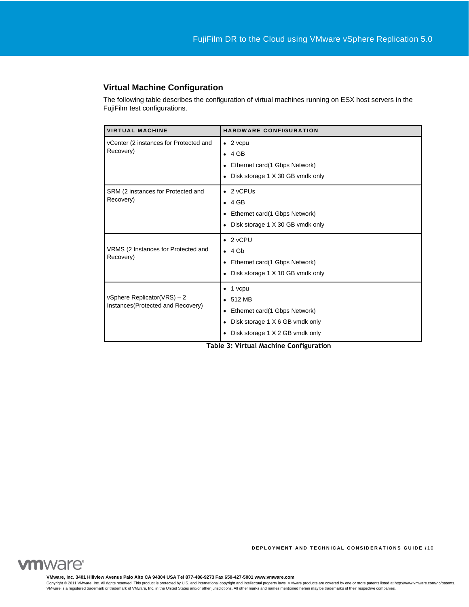# <span id="page-9-0"></span>**Virtual Machine Configuration**

The following table describes the configuration of virtual machines running on ESX host servers in the FujiFilm test configurations.

| <b>VIRTUAL MACHINE</b>                                            | <b>HARDWARE CONFIGURATION</b>                                                                                                                                                 |
|-------------------------------------------------------------------|-------------------------------------------------------------------------------------------------------------------------------------------------------------------------------|
| vCenter (2 instances for Protected and<br>Recovery)               | $\bullet$ 2 vcpu<br>$\bullet$ 4 GB<br>Ethernet card(1 Gbps Network)<br>٠<br>Disk storage 1 X 30 GB vmdk only<br>٠                                                             |
| SRM (2 instances for Protected and<br>Recovery)                   | $\bullet$ 2 vCPUs<br>4 GB<br>$\bullet$<br>Ethernet card(1 Gbps Network)<br>٠<br>Disk storage 1 X 30 GB vmdk only<br>$\bullet$                                                 |
| VRMS (2 Instances for Protected and<br>Recovery)                  | $\bullet$ 2 vCPU<br>$\bullet$ 4 Gb<br>Ethernet card(1 Gbps Network)<br>$\bullet$<br>Disk storage 1 X 10 GB vmdk only<br>$\bullet$                                             |
| vSphere Replicator(VRS) $-2$<br>Instances(Protected and Recovery) | $\bullet$ 1 vcpu<br>512 MB<br>$\bullet$<br>Ethernet card(1 Gbps Network)<br>$\bullet$<br>Disk storage 1 X 6 GB vmdk only<br>٠<br>Disk storage 1 X 2 GB vmdk only<br>$\bullet$ |

**Table 3: Virtual Machine Configuration**



**VMware, Inc. 3401 Hillview Avenue Palo Alto CA 94304 USA Tel 877-486-9273 Fax 650-427-5001 www.vmware.com**

Copyright © 2011 VMware, Inc. All rights reserved. This product is protected by U.S. and international copyright and intellectual property laws. VMware products are covered by one or more patents listed at http://www.vmwar

**DEPLOYMENT AND TECHNICAL CONSIDERATIONS GUIDE /10**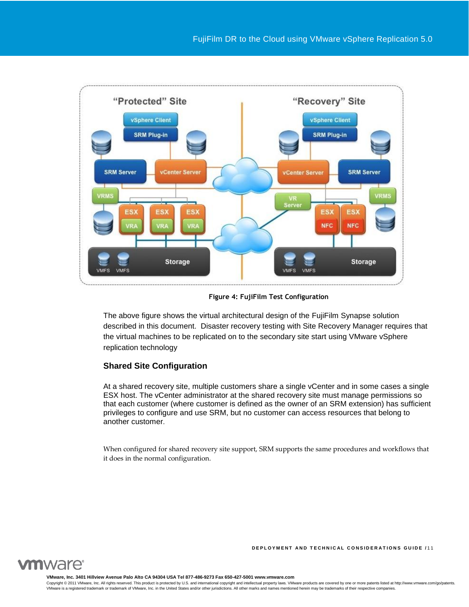

**Figure 4: FujiFilm Test Configuration**

The above figure shows the virtual architectural design of the FujiFilm Synapse solution described in this document. Disaster recovery testing with Site Recovery Manager requires that the virtual machines to be replicated on to the secondary site start using VMware vSphere replication technology

# <span id="page-10-0"></span>**Shared Site Configuration**

At a shared recovery site, multiple customers share a single vCenter and in some cases a single ESX host. The vCenter administrator at the shared recovery site must manage permissions so that each customer (where customer is defined as the owner of an SRM extension) has sufficient privileges to configure and use SRM, but no customer can access resources that belong to another customer.

When configured for shared recovery site support, SRM supports the same procedures and workflows that it does in the normal configuration.

**DEPLOYMENT AND TECHNICAL CONSIDERATIONS GUIDE /11** 



**VMware, Inc. 3401 Hillview Avenue Palo Alto CA 94304 USA Tel 877-486-9273 Fax 650-427-5001 www.vmware.com**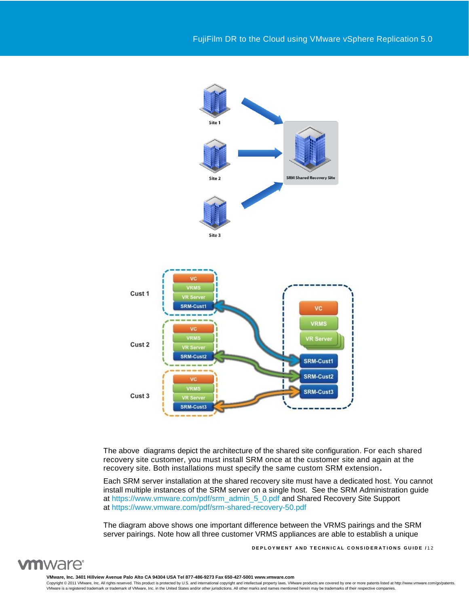

The above diagrams depict the architecture of the shared site configuration. For each shared recovery site customer, you must install SRM once at the customer site and again at the recovery site. Both installations must specify the same custom SRM extension**.** 

Each SRM server installation at the shared recovery site must have a dedicated host. You cannot install multiple instances of the SRM server on a single host. See the SRM Administration guide at [https://www.vmware.com/pdf/srm\\_admin\\_5\\_0.pdf](https://www.vmware.com/pdf/srm_admin_5_0.pdf) and Shared Recovery Site Support at <https://www.vmware.com/pdf/srm-shared-recovery-50.pdf>

The diagram above shows one important difference between the VRMS pairings and the SRM server pairings. Note how all three customer VRMS appliances are able to establish a unique

**DEPLOYMENT AND TECHNICAL CONSIDERATIONS GUIDE /12** 



**VMware, Inc. 3401 Hillview Avenue Palo Alto CA 94304 USA Tel 877-486-9273 Fax 650-427-5001 www.vmware.com**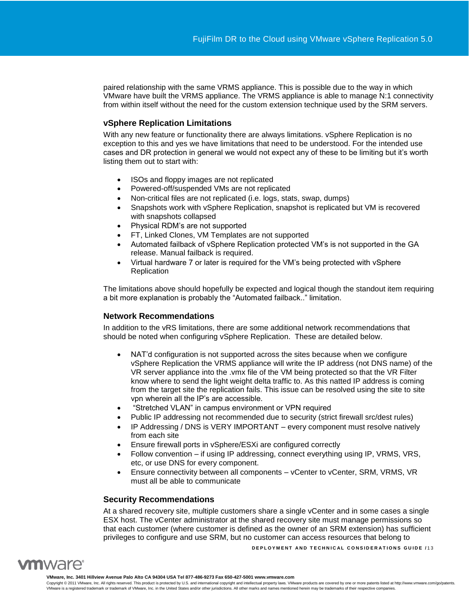paired relationship with the same VRMS appliance. This is possible due to the way in which VMware have built the VRMS appliance. The VRMS appliance is able to manage N:1 connectivity from within itself without the need for the custom extension technique used by the SRM servers.

# <span id="page-12-0"></span>**vSphere Replication Limitations**

With any new feature or functionality there are always limitations. vSphere Replication is no exception to this and yes we have limitations that need to be understood. For the intended use cases and DR protection in general we would not expect any of these to be limiting but it's worth listing them out to start with:

- ISOs and floppy images are not replicated
- Powered-off/suspended VMs are not replicated
- Non-critical files are not replicated (i.e. logs, stats, swap, dumps)
- Snapshots work with vSphere Replication, snapshot is replicated but VM is recovered with snapshots collapsed
- Physical RDM's are not supported
- FT, Linked Clones, VM Templates are not supported
- Automated failback of vSphere Replication protected VM's is not supported in the GA release. Manual failback is required.
- Virtual hardware 7 or later is required for the VM's being protected with vSphere **Replication**

The limitations above should hopefully be expected and logical though the standout item requiring a bit more explanation is probably the "Automated failback.." limitation.

# <span id="page-12-1"></span>**Network Recommendations**

In addition to the vRS limitations, there are some additional network recommendations that should be noted when configuring vSphere Replication. These are detailed below.

- NAT'd configuration is not supported across the sites because when we configure vSphere Replication the VRMS appliance will write the IP address (not DNS name) of the VR server appliance into the .vmx file of the VM being protected so that the VR Filter know where to send the light weight delta traffic to. As this natted IP address is coming from the target site the replication fails. This issue can be resolved using the site to site vpn wherein all the IP's are accessible.
- "Stretched VLAN" in campus environment or VPN required
- Public IP addressing not recommended due to security (strict firewall src/dest rules)
- IP Addressing / DNS is VERY IMPORTANT every component must resolve natively from each site
- Ensure firewall ports in vSphere/ESXi are configured correctly
- Follow convention if using IP addressing, connect everything using IP, VRMS, VRS, etc, or use DNS for every component.
- Ensure connectivity between all components vCenter to vCenter, SRM, VRMS, VR must all be able to communicate

# <span id="page-12-2"></span>**Security Recommendations**

**DEPLOYMENT AND TECHNICAL CONSIDERATIONS GUIDE /13** At a shared recovery site, multiple customers share a single vCenter and in some cases a single ESX host. The vCenter administrator at the shared recovery site must manage permissions so that each customer (where customer is defined as the owner of an SRM extension) has sufficient privileges to configure and use SRM, but no customer can access resources that belong to



**VMware, Inc. 3401 Hillview Avenue Palo Alto CA 94304 USA Tel 877-486-9273 Fax 650-427-5001 www.vmware.com**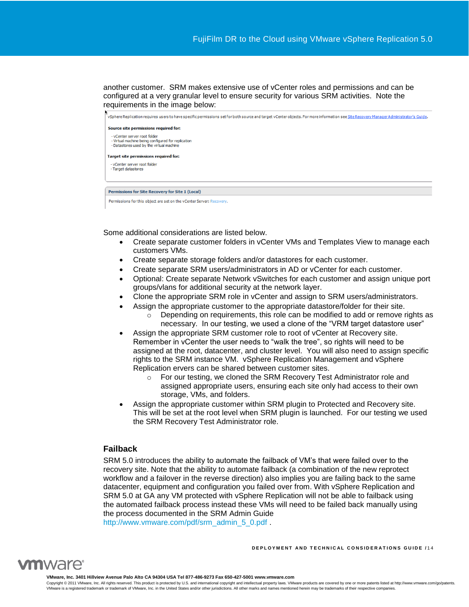another customer. SRM makes extensive use of vCenter roles and permissions and can be configured at a very granular level to ensure security for various SRM activities. Note the requirements in the image below:



Some additional considerations are listed below.

- Create separate customer folders in vCenter VMs and Templates View to manage each customers VMs.
- Create separate storage folders and/or datastores for each customer.
- Create separate SRM users/administrators in AD or vCenter for each customer.
- Optional: Create separate Network vSwitches for each customer and assign unique port groups/vlans for additional security at the network layer.
- Clone the appropriate SRM role in vCenter and assign to SRM users/administrators.
- Assign the appropriate customer to the appropriate datastore/folder for their site.
	- $\circ$  Depending on requirements, this role can be modified to add or remove rights as necessary. In our testing, we used a clone of the "VRM target datastore user"
- Assign the appropriate SRM customer role to root of vCenter at Recovery site. Remember in vCenter the user needs to "walk the tree", so rights will need to be assigned at the root, datacenter, and cluster level. You will also need to assign specific rights to the SRM instance VM. vSphere Replication Management and vSphere Replication ervers can be shared between customer sites.
	- o For our testing, we cloned the SRM Recovery Test Administrator role and assigned appropriate users, ensuring each site only had access to their own storage, VMs, and folders.
- Assign the appropriate customer within SRM plugin to Protected and Recovery site. This will be set at the root level when SRM plugin is launched. For our testing we used the SRM Recovery Test Administrator role.

# <span id="page-13-0"></span>**Failback**

SRM 5.0 introduces the ability to automate the failback of VM's that were failed over to the recovery site. Note that the ability to automate failback (a combination of the new reprotect workflow and a failover in the reverse direction) also implies you are failing back to the same datacenter, equipment and configuration you failed over from. With vSphere Replication and SRM 5.0 at GA any VM protected with vSphere Replication will not be able to failback using the automated failback process instead these VMs will need to be failed back manually using the process documented in the SRM Admin Guide

[http://www.vmware.com/pdf/srm\\_admin\\_5\\_0.pdf](http://www.vmware.com/pdf/srm_admin_5_0.pdf) .





**VMware, Inc. 3401 Hillview Avenue Palo Alto CA 94304 USA Tel 877-486-9273 Fax 650-427-5001 www.vmware.com**